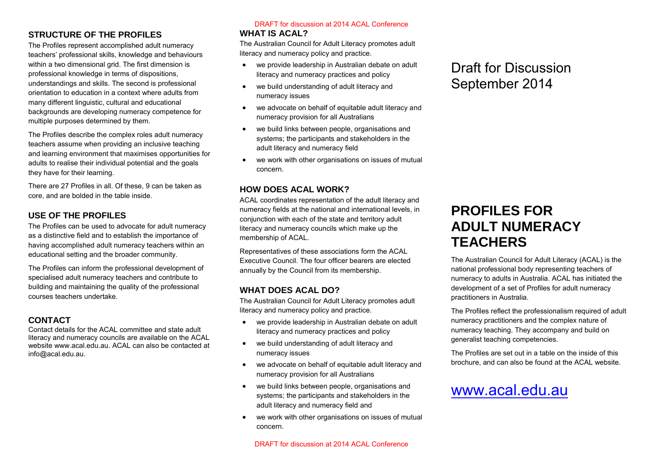### **STRUCTURE OF THE PROFILES**

The Profiles represent accomplished adult numeracy teachers' professional skills, knowledge and behaviours within a two dimensional grid. The first dimension is professional knowledge in terms of dispositions, understandings and skills. The second is professional orientation to education in a context where adults from many different linguistic, cultural and educational backgrounds are developing numeracy competence for multiple purposes determined by them.

The Profiles describe the complex roles adult numeracy teachers assume when providing an inclusive teaching and learning environment that maximises opportunities for adults to realise their individual potential and the goals they have for their learning.

There are 27 Profiles in all. Of these, 9 can be taken as core, and are bolded in the table inside.

### **USE OF THE PROFILES**

The Profiles can be used to advocate for adult numeracy as a distinctive field and to establish the importance of having accomplished adult numeracy teachers within an educational setting and the broader community.

The Profiles can inform the professional development of specialised adult numeracy teachers and contribute to building and maintaining the quality of the professional courses teachers undertake.

### **CONTACT**

Contact details for the ACAL committee and state adult literacy and numeracy councils are available on the ACAL website www.acal.edu.au. ACAL can also be contacted at info@acal.edu.au.

#### **WHAT IS ACAL?** DRAFT for discussion at 2014 ACAL Conference

The Australian Council for Adult Literacy promotes adult literacy and numeracy policy and practice.

- we provide leadership in Australian debate on adult literacy and numeracy practices and policy
- we build understanding of adult literacy and numeracy issues
- we advocate on behalf of equitable adult literacy and numeracy provision for all Australians
- we build links between people, organisations and systems; the participants and stakeholders in the adult literacy and numeracy field
- we work with other organisations on issues of mutual concern.

#### **HOW DOES ACAL WORK?**

ACAL coordinates representation of the adult literacy and numeracy fields at the national and international levels, in conjunction with each of the state and territory adult literacy and numeracy councils which make up the membership of ACAL.

Representatives of these associations form the ACAL Executive Council. The four officer bearers are elected annually by the Council from its membership.

#### **WHAT DOES ACAL DO?**

The Australian Council for Adult Literacy promotes adult literacy and numeracy policy and practice.

- we provide leadership in Australian debate on adult literacy and numeracy practices and policy
- we build understanding of adult literacy and numeracy issues
- we advocate on behalf of equitable adult literacy and numeracy provision for all Australians
- we build links between people, organisations and systems; the participants and stakeholders in the adult literacy and numeracy field and
- we work with other organisations on issues of mutual concern.

#### DRAFT for discussion at 2014 ACAL Conference

### Draft for Discussion September 2014

# **PROFILES FOR ADULT NUMERACY TEACHERS**

The Australian Council for Adult Literacy (ACAL) is the national professional body representing teachers of numeracy to adults in Australia. ACAL has initiated the development of a set of Profiles for adult numeracy practitioners in Australia.

The Profiles reflect the professionalism required of adult numeracy practitioners and the complex nature of numeracy teaching. They accompany and build on generalist teaching competencies.

The Profiles are set out in a table on the inside of this brochure, and can also be found at the ACAL website.

## [www.acal.edu.au](http://www.acal.edu.au/)